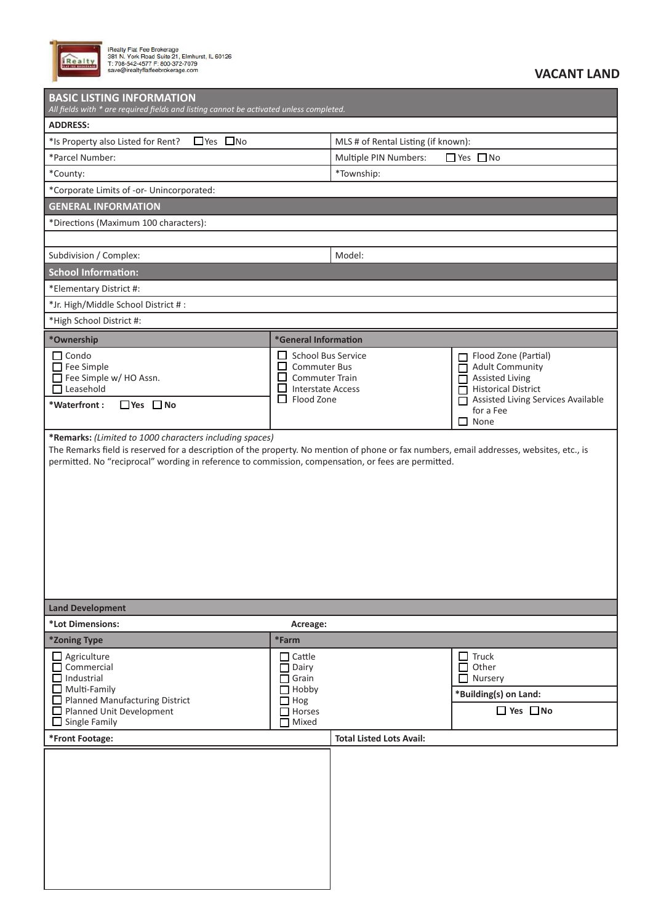

iRealty Flat Fee Brokerage<br>381 N. York Road Suite 21, Elmhurst, IL 60126<br>T: 708-542-4577 F: 800-372-7079<br>save@irealtyflatfeebrokerage.com

| <b>BASIC LISTING INFORMATION</b><br>All fields with * are required fields and listing cannot be activated unless completed.                                                                                                                     |                                                                                                                                 |                                     |                                                                                                                                                                              |  |  |  |
|-------------------------------------------------------------------------------------------------------------------------------------------------------------------------------------------------------------------------------------------------|---------------------------------------------------------------------------------------------------------------------------------|-------------------------------------|------------------------------------------------------------------------------------------------------------------------------------------------------------------------------|--|--|--|
| <b>ADDRESS:</b>                                                                                                                                                                                                                                 |                                                                                                                                 |                                     |                                                                                                                                                                              |  |  |  |
| $\Box$ Yes $\Box$ No<br>*Is Property also Listed for Rent?                                                                                                                                                                                      |                                                                                                                                 | MLS # of Rental Listing (if known): |                                                                                                                                                                              |  |  |  |
| *Parcel Number:                                                                                                                                                                                                                                 |                                                                                                                                 | Multiple PIN Numbers:               | $\Box$ Yes $\Box$ No                                                                                                                                                         |  |  |  |
| *County:                                                                                                                                                                                                                                        |                                                                                                                                 | *Township:                          |                                                                                                                                                                              |  |  |  |
| *Corporate Limits of -or- Unincorporated:                                                                                                                                                                                                       |                                                                                                                                 |                                     |                                                                                                                                                                              |  |  |  |
| <b>GENERAL INFORMATION</b>                                                                                                                                                                                                                      |                                                                                                                                 |                                     |                                                                                                                                                                              |  |  |  |
| *Directions (Maximum 100 characters):                                                                                                                                                                                                           |                                                                                                                                 |                                     |                                                                                                                                                                              |  |  |  |
|                                                                                                                                                                                                                                                 |                                                                                                                                 |                                     |                                                                                                                                                                              |  |  |  |
| Subdivision / Complex:                                                                                                                                                                                                                          |                                                                                                                                 | Model:                              |                                                                                                                                                                              |  |  |  |
| <b>School Information:</b>                                                                                                                                                                                                                      |                                                                                                                                 |                                     |                                                                                                                                                                              |  |  |  |
| *Elementary District #:                                                                                                                                                                                                                         |                                                                                                                                 |                                     |                                                                                                                                                                              |  |  |  |
| *Jr. High/Middle School District #:                                                                                                                                                                                                             |                                                                                                                                 |                                     |                                                                                                                                                                              |  |  |  |
| *High School District #:                                                                                                                                                                                                                        |                                                                                                                                 |                                     |                                                                                                                                                                              |  |  |  |
| *Ownership                                                                                                                                                                                                                                      | *General Information                                                                                                            |                                     |                                                                                                                                                                              |  |  |  |
| $\Box$ Condo<br>$\Box$ Fee Simple<br>Fee Simple w/ HO Assn.<br>$\Box$ Leasehold<br>$\Box$ Yes $\Box$ No<br>*Waterfront:                                                                                                                         | <b>School Bus Service</b><br><b>Commuter Bus</b><br><b>Commuter Train</b><br><b>Interstate Access</b><br>ப<br>$\Box$ Flood Zone |                                     | Flood Zone (Partial)<br><b>Adult Community</b><br><b>Assisted Living</b><br>П<br><b>Historical District</b><br>Assisted Living Services Available<br>for a Fee<br>None<br>ΙI |  |  |  |
| The Remarks field is reserved for a description of the property. No mention of phone or fax numbers, email addresses, websites, etc., is<br>permitted. No "reciprocal" wording in reference to commission, compensation, or fees are permitted. |                                                                                                                                 |                                     |                                                                                                                                                                              |  |  |  |
| <b>Land Development</b>                                                                                                                                                                                                                         |                                                                                                                                 |                                     |                                                                                                                                                                              |  |  |  |
| *Lot Dimensions:                                                                                                                                                                                                                                | Acreage:                                                                                                                        |                                     |                                                                                                                                                                              |  |  |  |
| *Zoning Type                                                                                                                                                                                                                                    | *Farm                                                                                                                           |                                     |                                                                                                                                                                              |  |  |  |
| $\Box$ Agriculture<br>$\Box$ Commercial<br>$\Box$ Industrial<br>$\Box$ Multi-Family<br>Planned Manufacturing District<br>Planned Unit Development<br>$\Box$ Single Family                                                                       | $\Box$ Cattle<br>Dairy<br>П<br>$\Box$ Grain<br>$\Box$ Hobby<br>$\Box$ Hog<br>$\Box$ Horses<br>$\Box$ Mixed                      |                                     | $\Box$ Truck<br>Other<br>□<br>$\Box$ Nursery<br>*Building(s) on Land:<br>$\Box$ Yes $\Box$ No                                                                                |  |  |  |
| *Front Footage:                                                                                                                                                                                                                                 |                                                                                                                                 | <b>Total Listed Lots Avail:</b>     |                                                                                                                                                                              |  |  |  |
|                                                                                                                                                                                                                                                 |                                                                                                                                 |                                     |                                                                                                                                                                              |  |  |  |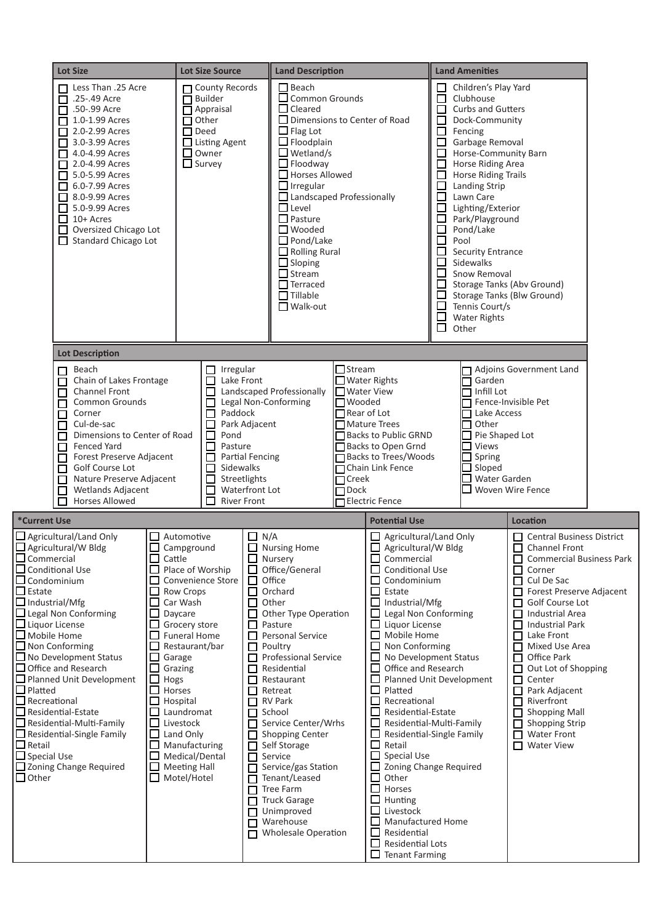|                                                                                                                                                                                | <b>Lot Size</b>                                                                                                                                                                                                                                                                                                                                                                                                               |                                                                                                                                                                                                                                                                                                                                                                                 | <b>Lot Size Source</b>                                                                                                                                         |                                                                                                                                                                                                                                                                                                                                                                                                                                                                                                                                                 |                                                                                                     |                                                                                                                                                                                                                                                                                                                                                                                                                                                                                                                                                                                                                                                                                                                         |  |                                                                                                                                                                                                                                                                                                                                                                                                                                                                                                                                                                                                                                                                                               |                                                                                                                                                                                                                                                                                                                                                                                                                                                                                                                         |  |
|--------------------------------------------------------------------------------------------------------------------------------------------------------------------------------|-------------------------------------------------------------------------------------------------------------------------------------------------------------------------------------------------------------------------------------------------------------------------------------------------------------------------------------------------------------------------------------------------------------------------------|---------------------------------------------------------------------------------------------------------------------------------------------------------------------------------------------------------------------------------------------------------------------------------------------------------------------------------------------------------------------------------|----------------------------------------------------------------------------------------------------------------------------------------------------------------|-------------------------------------------------------------------------------------------------------------------------------------------------------------------------------------------------------------------------------------------------------------------------------------------------------------------------------------------------------------------------------------------------------------------------------------------------------------------------------------------------------------------------------------------------|-----------------------------------------------------------------------------------------------------|-------------------------------------------------------------------------------------------------------------------------------------------------------------------------------------------------------------------------------------------------------------------------------------------------------------------------------------------------------------------------------------------------------------------------------------------------------------------------------------------------------------------------------------------------------------------------------------------------------------------------------------------------------------------------------------------------------------------------|--|-----------------------------------------------------------------------------------------------------------------------------------------------------------------------------------------------------------------------------------------------------------------------------------------------------------------------------------------------------------------------------------------------------------------------------------------------------------------------------------------------------------------------------------------------------------------------------------------------------------------------------------------------------------------------------------------------|-------------------------------------------------------------------------------------------------------------------------------------------------------------------------------------------------------------------------------------------------------------------------------------------------------------------------------------------------------------------------------------------------------------------------------------------------------------------------------------------------------------------------|--|
|                                                                                                                                                                                | □ Less Than .25 Acre<br>■ .25-.49 Acre<br>.50-.99 Acre<br>1.0-1.99 Acres<br>п<br>2.0-2.99 Acres<br>3.0-3.99 Acres<br>4.0-4.99 Acres<br>□<br>2.0-4.99 Acres<br>$5.0 - 5.99$ Acres<br>6.0-7.99 Acres<br>□<br>$\Box$ 8.0-9.99 Acres<br>5.0-9.99 Acres<br>$10+$ Acres<br>ப<br>$\Box$<br>Oversized Chicago Lot<br>$\Box$ Standard Chicago Lot                                                                                      |                                                                                                                                                                                                                                                                                                                                                                                 | County Records<br>$\Box$ Builder<br>$\Box$ Appraisal<br>$\Box$ Other<br>$\Box$ Deed<br>$\Box$ Listing Agent<br>$\Box$ Owner<br>$\Box$ Survey                   | <b>Land Description</b><br>$\Box$ Beach<br>$\Box$ Common Grounds<br>$\Box$ Cleared<br>$\Box$ Flag Lot<br>$\Box$ Floodplain<br>$\Box$ Wetland/s<br>$\Box$ Floodway<br>$\Box$ Horses Allowed<br>$\Box$ Irregular<br>Landscaped Professionally<br>$\Box$ Level<br>$\Box$ Pasture<br>$\Box$ Wooded<br>$\Box$ Pond/Lake<br>$\Box$ Rolling Rural<br>$\Box$ Sloping<br>$\Box$ Stream<br>$\Box$ Terraced<br>$\Box$ Tillable<br>$\Box$ Walk-out                                                                                                          |                                                                                                     | □ Dimensions to Center of Road                                                                                                                                                                                                                                                                                                                                                                                                                                                                                                                                                                                                                                                                                          |  | <b>Land Amenities</b><br>Children's Play Yard<br>$\Box$<br>$\Box$<br>Clubhouse<br><b>Curbs and Gutters</b><br>$\Box$<br>Dock-Community<br>$\Box$<br>$\Box$<br>Fencing<br>$\Box$<br>Garbage Removal<br>Horse-Community Barn<br>$\Box$<br>□<br>Horse Riding Area<br><b>Horse Riding Trails</b><br>$\Box$<br>$\Box$<br><b>Landing Strip</b><br>$\Box$<br>Lawn Care<br>$\Box$<br>Lighting/Exterior<br>$\Box$<br>Park/Playground<br>□<br>Pond/Lake<br>□<br>Pool<br>$\Box$<br><b>Security Entrance</b><br>$\Box$<br>Sidewalks<br>□<br>Snow Removal<br>Storage Tanks (Abv Ground)<br>$\Box$<br>Storage Tanks (Blw Ground)<br>$\Box$<br>Tennis Court/s<br>$\Box$<br><b>Water Rights</b><br>□<br>Other |                                                                                                                                                                                                                                                                                                                                                                                                                                                                                                                         |  |
|                                                                                                                                                                                | <b>Lot Description</b>                                                                                                                                                                                                                                                                                                                                                                                                        |                                                                                                                                                                                                                                                                                                                                                                                 |                                                                                                                                                                |                                                                                                                                                                                                                                                                                                                                                                                                                                                                                                                                                 |                                                                                                     |                                                                                                                                                                                                                                                                                                                                                                                                                                                                                                                                                                                                                                                                                                                         |  |                                                                                                                                                                                                                                                                                                                                                                                                                                                                                                                                                                                                                                                                                               |                                                                                                                                                                                                                                                                                                                                                                                                                                                                                                                         |  |
|                                                                                                                                                                                | Beach<br>П<br>Chain of Lakes Frontage<br>П<br>Channel Front<br><b>Common Grounds</b><br>П<br>Corner<br>П<br>Cul-de-sac<br>Dimensions to Center of Road<br><b>Fenced Yard</b><br>Forest Preserve Adjacent<br>Golf Course Lot<br>ΙI<br>Nature Preserve Adjacent<br>Wetlands Adjacent<br><b>Horses Allowed</b>                                                                                                                   |                                                                                                                                                                                                                                                                                                                                                                                 | Irregular<br>□<br>Lake Front<br>П<br>П<br>Paddock<br>$\Box$<br>$\Box$<br>$\Box$<br>Pond<br>Pasture<br>□<br>□<br>Sidewalks<br>$\Box$<br>П<br><b>River Front</b> | Landscaped Professionally<br>Legal Non-Conforming<br>Park Adjacent<br>Partial Fencing<br>Streetlights<br>Waterfront Lot                                                                                                                                                                                                                                                                                                                                                                                                                         | $\Box$ Stream<br><b>Water View</b><br><b>□</b> Wooded<br>Rear of Lot<br>$\Box$ Creek<br>$\Box$ Dock | $\Box$ Water Rights<br><b>■</b> Mature Trees<br>□ Backs to Public GRND<br>Backs to Open Grnd<br>□ Backs to Trees/Woods<br>Chain Link Fence<br><b>□Electric Fence</b>                                                                                                                                                                                                                                                                                                                                                                                                                                                                                                                                                    |  | Garden<br>1 Infill Lot<br>$\Box$ Fence-Invisible Pet<br>$\sqcap$ Lake Access<br>Other<br>$\Box$ Pie Shaped Lot<br><b>Views</b><br>$\Box$ Spring<br>$\Box$ Sloped<br>$\Box$ Water Garden                                                                                                                                                                                                                                                                                                                                                                                                                                                                                                       | Adjoins Government Land<br>Woven Wire Fence                                                                                                                                                                                                                                                                                                                                                                                                                                                                             |  |
| *Current Use                                                                                                                                                                   |                                                                                                                                                                                                                                                                                                                                                                                                                               |                                                                                                                                                                                                                                                                                                                                                                                 |                                                                                                                                                                |                                                                                                                                                                                                                                                                                                                                                                                                                                                                                                                                                 |                                                                                                     | <b>Potential Use</b>                                                                                                                                                                                                                                                                                                                                                                                                                                                                                                                                                                                                                                                                                                    |  |                                                                                                                                                                                                                                                                                                                                                                                                                                                                                                                                                                                                                                                                                               | Location                                                                                                                                                                                                                                                                                                                                                                                                                                                                                                                |  |
| $\Box$ Condominium<br>$\mathbf{\mathop{\sqsubseteq} }$ Estate<br>$\Box$ Industrial/Mfg<br>$\Box$ Liquor License<br>$\Box$ Platted<br>$\Box$ Recreational<br>$\Box$ Special Use | $\Box$ Agricultural/Land Only<br>Agricultural/W Bldg<br>Commercial<br>Conditional Use<br>$\Box$ Legal Non Conforming<br>$\Box$ Mobile Home<br>$\Box$ Non Conforming<br>$\Box$ No Development Status<br>$\Box$ Office and Research<br>Planned Unit Development<br>$\Box$ Residential-Estate<br>$\Box$ Residential-Multi-Family<br>■ Residential-Single Family<br>■ Retail<br>■ C<br><b>□</b> Zoning Change Required<br>□ Other | $\Box$ Automotive<br>$\Box$ Campground<br>$\Box$ Cattle<br>$\Box$ Row Crops<br>Car Wash<br>ப<br>⊔<br>Daycare<br>$\Box$<br>$\Box$ Funeral Home<br>□<br>Garage<br>$\Box$<br>Grazing<br>$\Box$ Hogs<br>$\Box$ Horses<br>$\Box$ Hospital<br>Laundromat<br>□<br>Livestock<br>$\Box$ Land Only<br>$\Box$ Manufacturing<br>$\Box$ Medical/Dental<br>$\Box$ Meeting Hall<br>Motel/Hotel | $\Box$ Place of Worship<br>□ Convenience Store<br>Grocery store<br>Restaurant/bar                                                                              | $\Box$ N/A<br>$\Box$ Nursing Home<br>$\Box$ Nursery<br>□ Office/General<br>$\Box$ Office<br>$\Box$ Orchard<br>$\Box$ Other<br>$\Box$ Other Type Operation<br>□<br>Pasture<br>Personal Service<br>$\Box$ Poultry<br>Professional Service<br>$\Box$ Residential<br>$\Box$ Restaurant<br>□<br>Retreat<br>RV Park<br>$\Box$ School<br>Service Center/Wrhs<br>Shopping Center<br>Self Storage<br>$\Box$ Service<br>Service/gas Station<br>Tenant/Leased<br>$\Box$ Tree Farm<br>Truck Garage<br>Unimproved<br>$\Box$ Warehouse<br>Wholesale Operation |                                                                                                     | $\Box$ Agricultural/Land Only<br>Agricultural/W Bldg<br>$\Box$ Commercial<br><b>Conditional Use</b><br>ப<br>Condominium<br>$\Box$ Estate<br>$\Box$ Industrial/Mfg<br>$\Box$ Legal Non Conforming<br>□<br>Liquor License<br>Mobile Home<br>ΙI<br>Non Conforming<br>No Development Status<br>Office and Research<br>$\Box$<br>Planned Unit Development<br>$\Box$<br>Platted<br>$\Box$<br>Recreational<br>Residential-Estate<br>Residential-Multi-Family<br>Residential-Single Family<br>□<br>Retail<br>□<br>Special Use<br>Zoning Change Required<br>□<br>Other<br>□<br>Horses<br>$\Box$ Hunting<br>Livestock<br>$\Box$<br>Manufactured Home<br>⊔<br>Residential<br><b>Residential Lots</b><br>ப<br>$\Box$ Tenant Farming |  |                                                                                                                                                                                                                                                                                                                                                                                                                                                                                                                                                                                                                                                                                               | $\Box$ Central Business District<br>□ Channel Front<br>$\Box$ Commercial Business Park<br>$\Box$ Corner<br>$\Box$ Cul De Sac<br>Forest Preserve Adjacent<br>Golf Course Lot<br>Industrial Area<br>$\mathsf{L}$<br><b>Industrial Park</b><br>□<br>$\Box$ Lake Front<br>Mixed Use Area<br>П<br>Office Park<br>$\mathbf{L}$<br>Out Lot of Shopping<br>П<br>Center<br>П<br>Park Adjacent<br>$\Box$<br>$\Box$ Riverfront<br><b>Shopping Mall</b><br>П<br><b>Shopping Strip</b><br>П<br><b>Water Front</b><br>П<br>Water View |  |